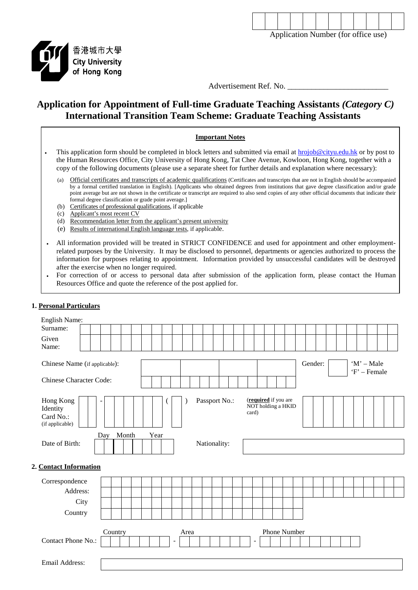

Application Number (for office use)



Advertisement Ref. No.

# **Application for Appointment of Full-time Graduate Teaching Assistants** *(Category C)* **International Transition Team Scheme: Graduate Teaching Assistants**

## **Important Notes** This application form should be completed in block letters and submitted via email at [hrojob@cityu.edu.hk](mailto:hrojob@cityu.edu.hk) or by post to the Human Resources Office, City University of Hong Kong, Tat Chee Avenue, Kowloon, Hong Kong, together with a copy of the following documents (please use a separate sheet for further details and explanation where necessary): (a) Official certificates and transcripts of academic qualifications (Certificates and transcripts that are not in English should be accompanied by a formal certified translation in English). [Applicants who obtained degrees from institutions that gave degree classification and/or grade point average but are not shown in the certificate or transcript are required to also send copies of any other official documents that indicate their formal degree classification or grade point average.] (b) Certificates of professional qualifications, if applicable

- 
- (c) Applicant's most recent CV
- (d) Recommendation letter from the applicant's present university
- (e) Results of international English language tests, if applicable.
- All information provided will be treated in STRICT CONFIDENCE and used for appointment and other employmentrelated purposes by the University. It may be disclosed to personnel, departments or agencies authorized to process the information for purposes relating to appointment. Information provided by unsuccessful candidates will be destroyed after the exercise when no longer required.
- For correction of or access to personal data after submission of the application form, please contact the Human Resources Office and quote the reference of the post applied for.

## **1. Personal Particulars**

| English Name:                                         |     |         |       |      |  |                          |      |  |              |               |  |       |                          |                                            |  |  |  |                              |  |  |  |  |  |  |  |
|-------------------------------------------------------|-----|---------|-------|------|--|--------------------------|------|--|--------------|---------------|--|-------|--------------------------|--------------------------------------------|--|--|--|------------------------------|--|--|--|--|--|--|--|
| Surname:                                              |     |         |       |      |  |                          |      |  |              |               |  |       |                          |                                            |  |  |  |                              |  |  |  |  |  |  |  |
| Given                                                 |     |         |       |      |  |                          |      |  |              |               |  |       |                          |                                            |  |  |  |                              |  |  |  |  |  |  |  |
| Name:                                                 |     |         |       |      |  |                          |      |  |              |               |  |       |                          |                                            |  |  |  |                              |  |  |  |  |  |  |  |
| Chinese Name (if applicable):                         |     |         |       |      |  |                          |      |  |              |               |  |       |                          | Gender:                                    |  |  |  | $'M'$ – Male<br>'F' - Female |  |  |  |  |  |  |  |
| <b>Chinese Character Code:</b>                        |     |         |       |      |  |                          |      |  |              |               |  |       |                          |                                            |  |  |  |                              |  |  |  |  |  |  |  |
| Hong Kong<br>Identity<br>Card No.:<br>(if applicable) |     |         |       |      |  |                          |      |  |              | Passport No.: |  | card) |                          | (required if you are<br>NOT holding a HKID |  |  |  |                              |  |  |  |  |  |  |  |
|                                                       | Day |         | Month | Year |  |                          |      |  |              |               |  |       |                          |                                            |  |  |  |                              |  |  |  |  |  |  |  |
| Date of Birth:                                        |     |         |       |      |  |                          |      |  | Nationality: |               |  |       |                          |                                            |  |  |  |                              |  |  |  |  |  |  |  |
| 2. Contact Information                                |     |         |       |      |  |                          |      |  |              |               |  |       |                          |                                            |  |  |  |                              |  |  |  |  |  |  |  |
| Correspondence                                        |     |         |       |      |  |                          |      |  |              |               |  |       |                          |                                            |  |  |  |                              |  |  |  |  |  |  |  |
| Address:                                              |     |         |       |      |  |                          |      |  |              |               |  |       |                          |                                            |  |  |  |                              |  |  |  |  |  |  |  |
| City                                                  |     |         |       |      |  |                          |      |  |              |               |  |       |                          |                                            |  |  |  |                              |  |  |  |  |  |  |  |
| Country                                               |     |         |       |      |  |                          |      |  |              |               |  |       |                          |                                            |  |  |  |                              |  |  |  |  |  |  |  |
|                                                       |     |         |       |      |  |                          |      |  |              |               |  |       |                          |                                            |  |  |  |                              |  |  |  |  |  |  |  |
|                                                       |     | Country |       |      |  |                          | Area |  |              |               |  |       |                          | Phone Number                               |  |  |  |                              |  |  |  |  |  |  |  |
| Contact Phone No.:                                    |     |         |       |      |  | $\overline{\phantom{a}}$ |      |  |              |               |  |       | $\overline{\phantom{a}}$ |                                            |  |  |  |                              |  |  |  |  |  |  |  |
|                                                       |     |         |       |      |  |                          |      |  |              |               |  |       |                          |                                            |  |  |  |                              |  |  |  |  |  |  |  |
| Email Address:                                        |     |         |       |      |  |                          |      |  |              |               |  |       |                          |                                            |  |  |  |                              |  |  |  |  |  |  |  |
|                                                       |     |         |       |      |  |                          |      |  |              |               |  |       |                          |                                            |  |  |  |                              |  |  |  |  |  |  |  |